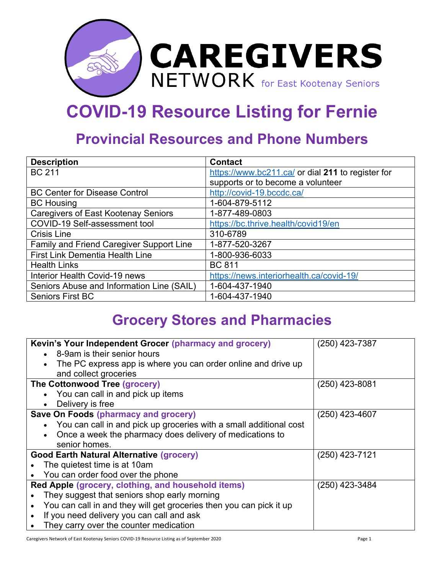

## **COVID-19 Resource Listing for Fernie**

## **Provincial Resources and Phone Numbers**

| <b>Description</b>                         | <b>Contact</b>                                    |
|--------------------------------------------|---------------------------------------------------|
| <b>BC 211</b>                              | https://www.bc211.ca/ or dial 211 to register for |
|                                            | supports or to become a volunteer                 |
| <b>BC Center for Disease Control</b>       | http://covid-19.bccdc.ca/                         |
| <b>BC Housing</b>                          | 1-604-879-5112                                    |
| <b>Caregivers of East Kootenay Seniors</b> | 1-877-489-0803                                    |
| COVID-19 Self-assessment tool              | https://bc.thrive.health/covid19/en               |
| <b>Crisis Line</b>                         | 310-6789                                          |
| Family and Friend Caregiver Support Line   | 1-877-520-3267                                    |
| <b>First Link Dementia Health Line</b>     | 1-800-936-6033                                    |
| <b>Health Links</b>                        | <b>BC 811</b>                                     |
| Interior Health Covid-19 news              | https://news.interiorhealth.ca/covid-19/          |
| Seniors Abuse and Information Line (SAIL)  | 1-604-437-1940                                    |
| <b>Seniors First BC</b>                    | 1-604-437-1940                                    |

## **Grocery Stores and Pharmacies**

| Kevin's Your Independent Grocer (pharmacy and grocery)                          | $(250)$ 423-7387 |
|---------------------------------------------------------------------------------|------------------|
| 8-9am is their senior hours<br>$\bullet$                                        |                  |
| The PC express app is where you can order online and drive up<br>$\bullet$      |                  |
| and collect groceries                                                           |                  |
| The Cottonwood Tree (grocery)                                                   | (250) 423-8081   |
| • You can call in and pick up items                                             |                  |
| Delivery is free<br>$\bullet$                                                   |                  |
| <b>Save On Foods (pharmacy and grocery)</b>                                     | $(250)$ 423-4607 |
| You can call in and pick up groceries with a small additional cost<br>$\bullet$ |                  |
| Once a week the pharmacy does delivery of medications to<br>$\bullet$           |                  |
| senior homes.                                                                   |                  |
| <b>Good Earth Natural Alternative (grocery)</b>                                 | (250) 423-7121   |
| The quietest time is at 10am                                                    |                  |
| You can order food over the phone                                               |                  |
| Red Apple (grocery, clothing, and household items)                              | (250) 423-3484   |
| They suggest that seniors shop early morning                                    |                  |
| You can call in and they will get groceries then you can pick it up             |                  |
| If you need delivery you can call and ask                                       |                  |
| They carry over the counter medication                                          |                  |